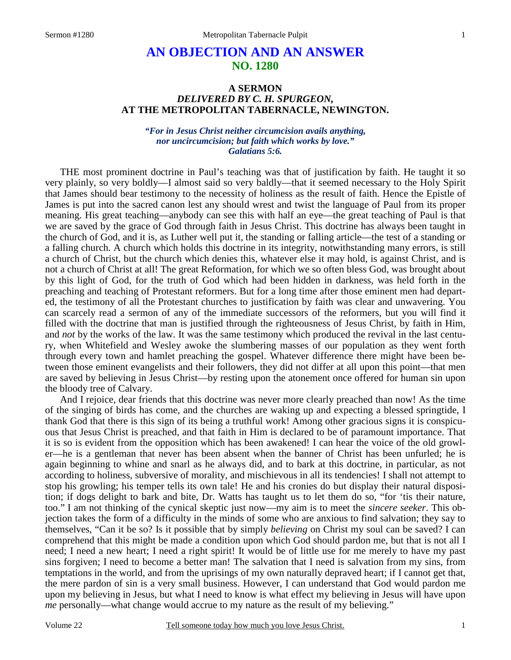# **AN OBJECTION AND AN ANSWER NO. 1280**

## **A SERMON**  *DELIVERED BY C. H. SPURGEON,*  **AT THE METROPOLITAN TABERNACLE, NEWINGTON.**

*"For in Jesus Christ neither circumcision avails anything, nor uncircumcision; but faith which works by love." Galatians 5:6.* 

THE most prominent doctrine in Paul's teaching was that of justification by faith. He taught it so very plainly, so very boldly—I almost said so very baldly—that it seemed necessary to the Holy Spirit that James should bear testimony to the necessity of holiness as the result of faith. Hence the Epistle of James is put into the sacred canon lest any should wrest and twist the language of Paul from its proper meaning. His great teaching—anybody can see this with half an eye—the great teaching of Paul is that we are saved by the grace of God through faith in Jesus Christ. This doctrine has always been taught in the church of God, and it is, as Luther well put it, the standing or falling article—the test of a standing or a falling church. A church which holds this doctrine in its integrity, notwithstanding many errors, is still a church of Christ, but the church which denies this, whatever else it may hold, is against Christ, and is not a church of Christ at all! The great Reformation, for which we so often bless God, was brought about by this light of God, for the truth of God which had been hidden in darkness, was held forth in the preaching and teaching of Protestant reformers. But for a long time after those eminent men had departed, the testimony of all the Protestant churches to justification by faith was clear and unwavering. You can scarcely read a sermon of any of the immediate successors of the reformers, but you will find it filled with the doctrine that man is justified through the righteousness of Jesus Christ, by faith in Him, and *not* by the works of the law. It was the same testimony which produced the revival in the last century, when Whitefield and Wesley awoke the slumbering masses of our population as they went forth through every town and hamlet preaching the gospel. Whatever difference there might have been between those eminent evangelists and their followers, they did not differ at all upon this point—that men are saved by believing in Jesus Christ—by resting upon the atonement once offered for human sin upon the bloody tree of Calvary.

 And I rejoice, dear friends that this doctrine was never more clearly preached than now! As the time of the singing of birds has come, and the churches are waking up and expecting a blessed springtide, I thank God that there is this sign of its being a truthful work! Among other gracious signs it is conspicuous that Jesus Christ is preached, and that faith in Him is declared to be of paramount importance. That it is so is evident from the opposition which has been awakened! I can hear the voice of the old growler—he is a gentleman that never has been absent when the banner of Christ has been unfurled; he is again beginning to whine and snarl as he always did, and to bark at this doctrine, in particular, as not according to holiness, subversive of morality, and mischievous in all its tendencies! I shall not attempt to stop his growling; his temper tells its own tale! He and his cronies do but display their natural disposition; if dogs delight to bark and bite, Dr. Watts has taught us to let them do so, "for 'tis their nature, too." I am not thinking of the cynical skeptic just now—my aim is to meet the *sincere seeker*. This objection takes the form of a difficulty in the minds of some who are anxious to find salvation; they say to themselves, "Can it be so? Is it possible that by simply *believing* on Christ my soul can be saved? I can comprehend that this might be made a condition upon which God should pardon me, but that is not all I need; I need a new heart; I need a right spirit! It would be of little use for me merely to have my past sins forgiven; I need to become a better man! The salvation that I need is salvation from my sins, from temptations in the world, and from the uprisings of my own naturally depraved heart; if I cannot get that, the mere pardon of sin is a very small business. However, I can understand that God would pardon me upon my believing in Jesus, but what I need to know is what effect my believing in Jesus will have upon *me* personally—what change would accrue to my nature as the result of my believing."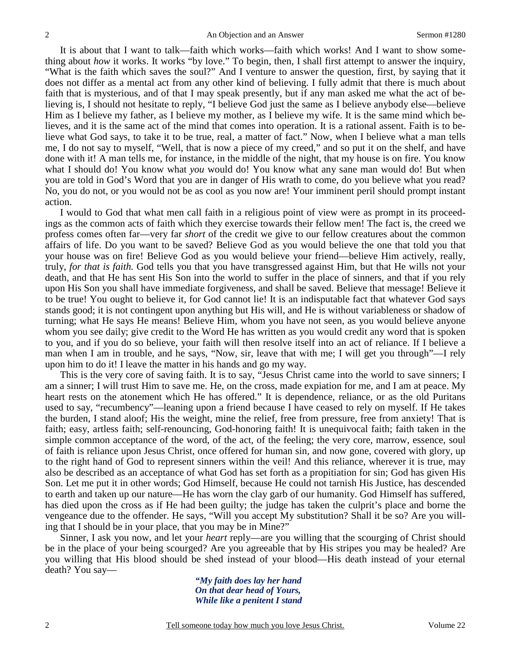It is about that I want to talk—faith which works—faith which works! And I want to show something about *how* it works. It works "by love." To begin, then, I shall first attempt to answer the inquiry, "What is the faith which saves the soul?" And I venture to answer the question, first, by saying that it does not differ as a mental act from any other kind of believing. I fully admit that there is much about faith that is mysterious, and of that I may speak presently, but if any man asked me what the act of believing is, I should not hesitate to reply, "I believe God just the same as I believe anybody else—believe Him as I believe my father, as I believe my mother, as I believe my wife. It is the same mind which believes, and it is the same act of the mind that comes into operation. It is a rational assent. Faith is to believe what God says, to take it to be true, real, a matter of fact." Now, when I believe what a man tells me, I do not say to myself, "Well, that is now a piece of my creed," and so put it on the shelf, and have done with it! A man tells me, for instance, in the middle of the night, that my house is on fire. You know what I should do! You know what *you* would do! You know what any sane man would do! But when you are told in God's Word that you are in danger of His wrath to come, do you believe what you read? No, you do not, or you would not be as cool as you now are! Your imminent peril should prompt instant action.

 I would to God that what men call faith in a religious point of view were as prompt in its proceedings as the common acts of faith which they exercise towards their fellow men! The fact is, the creed we profess comes often far—very far *short* of the credit we give to our fellow creatures about the common affairs of life. Do you want to be saved? Believe God as you would believe the one that told you that your house was on fire! Believe God as you would believe your friend—believe Him actively, really, truly, *for that is faith.* God tells you that you have transgressed against Him, but that He wills not your death, and that He has sent His Son into the world to suffer in the place of sinners, and that if you rely upon His Son you shall have immediate forgiveness, and shall be saved. Believe that message! Believe it to be true! You ought to believe it, for God cannot lie! It is an indisputable fact that whatever God says stands good; it is not contingent upon anything but His will, and He is without variableness or shadow of turning; what He says He means! Believe Him, whom you have not seen, as you would believe anyone whom you see daily; give credit to the Word He has written as you would credit any word that is spoken to you, and if you do so believe, your faith will then resolve itself into an act of reliance. If I believe a man when I am in trouble, and he says, "Now, sir, leave that with me; I will get you through"—I rely upon him to do it! I leave the matter in his hands and go my way.

 This is the very core of saving faith. It is to say, "Jesus Christ came into the world to save sinners; I am a sinner; I will trust Him to save me. He, on the cross, made expiation for me, and I am at peace. My heart rests on the atonement which He has offered." It is dependence, reliance, or as the old Puritans used to say, "recumbency"—leaning upon a friend because I have ceased to rely on myself. If He takes the burden, I stand aloof; His the weight, mine the relief, free from pressure, free from anxiety! That is faith; easy, artless faith; self-renouncing, God-honoring faith! It is unequivocal faith; faith taken in the simple common acceptance of the word, of the act, of the feeling; the very core, marrow, essence, soul of faith is reliance upon Jesus Christ, once offered for human sin, and now gone, covered with glory, up to the right hand of God to represent sinners within the veil! And this reliance, wherever it is true, may also be described as an acceptance of what God has set forth as a propitiation for sin; God has given His Son. Let me put it in other words; God Himself, because He could not tarnish His Justice, has descended to earth and taken up our nature—He has worn the clay garb of our humanity. God Himself has suffered, has died upon the cross as if He had been guilty; the judge has taken the culprit's place and borne the vengeance due to the offender. He says, "Will you accept My substitution? Shall it be so? Are you willing that I should be in your place, that you may be in Mine?"

 Sinner, I ask you now, and let your *heart* reply—are you willing that the scourging of Christ should be in the place of your being scourged? Are you agreeable that by His stripes you may be healed? Are you willing that His blood should be shed instead of your blood—His death instead of your eternal death? You say—

> *"My faith does lay her hand On that dear head of Yours, While like a penitent I stand*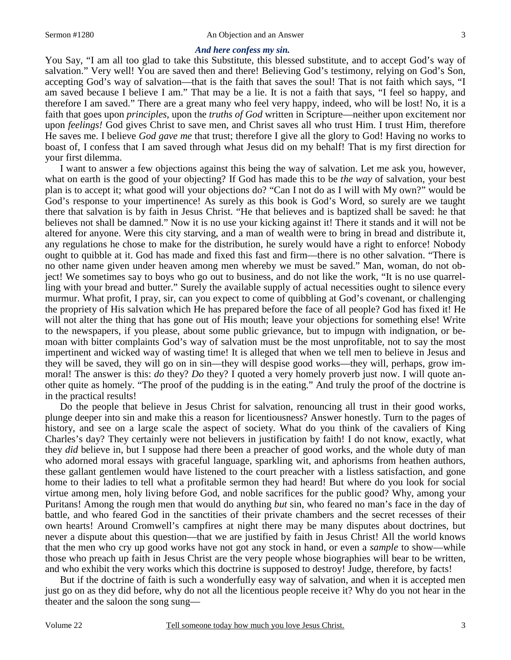# *And here confess my sin.*

You Say, "I am all too glad to take this Substitute, this blessed substitute, and to accept God's way of salvation." Very well! You are saved then and there! Believing God's testimony, relying on God's Son, accepting God's way of salvation—that is the faith that saves the soul! That is not faith which says, "I am saved because I believe I am." That may be a lie. It is not a faith that says, "I feel so happy, and therefore I am saved." There are a great many who feel very happy, indeed, who will be lost! No, it is a faith that goes upon *principles,* upon the *truths of God* written in Scripture—neither upon excitement nor upon *feelings!* God gives Christ to save men, and Christ saves all who trust Him. I trust Him, therefore He saves me. I believe *God gave me* that trust; therefore I give all the glory to God! Having no works to boast of, I confess that I am saved through what Jesus did on my behalf! That is my first direction for your first dilemma.

 I want to answer a few objections against this being the way of salvation. Let me ask you, however, what on earth is the good of your objecting? If God has made this to be *the way* of salvation, your best plan is to accept it; what good will your objections do? "Can I not do as I will with My own?" would be God's response to your impertinence! As surely as this book is God's Word, so surely are we taught there that salvation is by faith in Jesus Christ. "He that believes and is baptized shall be saved: he that believes not shall be damned." Now it is no use your kicking against it! There it stands and it will not be altered for anyone. Were this city starving, and a man of wealth were to bring in bread and distribute it, any regulations he chose to make for the distribution, he surely would have a right to enforce! Nobody ought to quibble at it. God has made and fixed this fast and firm—there is no other salvation. "There is no other name given under heaven among men whereby we must be saved." Man, woman, do not object! We sometimes say to boys who go out to business, and do not like the work, "It is no use quarrelling with your bread and butter." Surely the available supply of actual necessities ought to silence every murmur. What profit, I pray, sir, can you expect to come of quibbling at God's covenant, or challenging the propriety of His salvation which He has prepared before the face of all people? God has fixed it! He will not alter the thing that has gone out of His mouth; leave your objections for something else! Write to the newspapers, if you please, about some public grievance, but to impugn with indignation, or bemoan with bitter complaints God's way of salvation must be the most unprofitable, not to say the most impertinent and wicked way of wasting time! It is alleged that when we tell men to believe in Jesus and they will be saved, they will go on in sin—they will despise good works—they will, perhaps, grow immoral! The answer is this: *do* they? *Do* they? I quoted a very homely proverb just now. I will quote another quite as homely. "The proof of the pudding is in the eating." And truly the proof of the doctrine is in the practical results!

 Do the people that believe in Jesus Christ for salvation, renouncing all trust in their good works, plunge deeper into sin and make this a reason for licentiousness? Answer honestly. Turn to the pages of history, and see on a large scale the aspect of society. What do you think of the cavaliers of King Charles's day? They certainly were not believers in justification by faith! I do not know, exactly, what they *did* believe in, but I suppose had there been a preacher of good works, and the whole duty of man who adorned moral essays with graceful language, sparkling wit, and aphorisms from heathen authors, these gallant gentlemen would have listened to the court preacher with a listless satisfaction, and gone home to their ladies to tell what a profitable sermon they had heard! But where do you look for social virtue among men, holy living before God, and noble sacrifices for the public good? Why, among your Puritans! Among the rough men that would do anything *but* sin, who feared no man's face in the day of battle, and who feared God in the sanctities of their private chambers and the secret recesses of their own hearts! Around Cromwell's campfires at night there may be many disputes about doctrines, but never a dispute about this question—that we are justified by faith in Jesus Christ! All the world knows that the men who cry up good works have not got any stock in hand, or even a *sample* to show—while those who preach up faith in Jesus Christ are the very people whose biographies will bear to be written, and who exhibit the very works which this doctrine is supposed to destroy! Judge, therefore, by facts!

 But if the doctrine of faith is such a wonderfully easy way of salvation, and when it is accepted men just go on as they did before, why do not all the licentious people receive it? Why do you not hear in the theater and the saloon the song sung—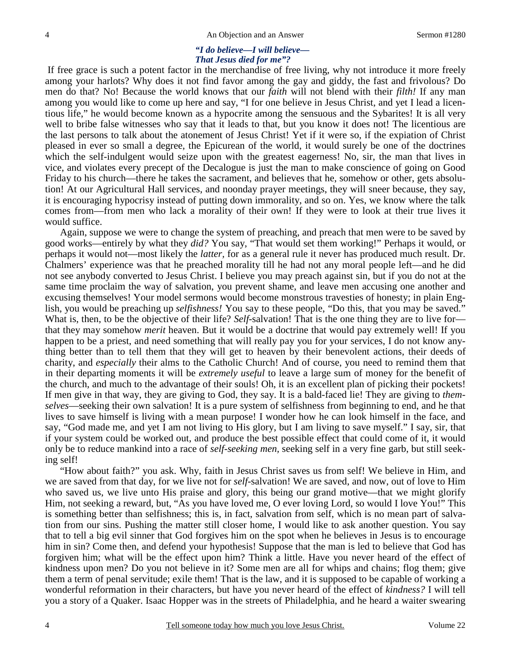#### *"I do believe—I will believe— That Jesus died for me"?*

If free grace is such a potent factor in the merchandise of free living, why not introduce it more freely among your harlots? Why does it not find favor among the gay and giddy, the fast and frivolous? Do men do that? No! Because the world knows that our *faith* will not blend with their *filth!* If any man among you would like to come up here and say, "I for one believe in Jesus Christ, and yet I lead a licentious life," he would become known as a hypocrite among the sensuous and the Sybarites! It is all very well to bribe false witnesses who say that it leads to that, but you know it does not! The licentious are the last persons to talk about the atonement of Jesus Christ! Yet if it were so, if the expiation of Christ pleased in ever so small a degree, the Epicurean of the world, it would surely be one of the doctrines which the self-indulgent would seize upon with the greatest eagerness! No, sir, the man that lives in vice, and violates every precept of the Decalogue is just the man to make conscience of going on Good Friday to his church—there he takes the sacrament, and believes that he, somehow or other, gets absolution! At our Agricultural Hall services, and noonday prayer meetings, they will sneer because, they say, it is encouraging hypocrisy instead of putting down immorality, and so on. Yes, we know where the talk comes from—from men who lack a morality of their own! If they were to look at their true lives it would suffice.

 Again, suppose we were to change the system of preaching, and preach that men were to be saved by good works—entirely by what they *did?* You say, "That would set them working!" Perhaps it would, or perhaps it would not—most likely the *latter,* for as a general rule it never has produced much result. Dr. Chalmers' experience was that he preached morality till he had not any moral people left—and he did not see anybody converted to Jesus Christ. I believe you may preach against sin, but if you do not at the same time proclaim the way of salvation, you prevent shame, and leave men accusing one another and excusing themselves! Your model sermons would become monstrous travesties of honesty; in plain English, you would be preaching up *selfishness!* You say to these people, "Do this, that you may be saved." What is, then, to be the objective of their life? *Self*-salvation! That is the one thing they are to live for that they may somehow *merit* heaven. But it would be a doctrine that would pay extremely well! If you happen to be a priest, and need something that will really pay you for your services, I do not know anything better than to tell them that they will get to heaven by their benevolent actions, their deeds of charity, and *especially* their alms to the Catholic Church! And of course, you need to remind them that in their departing moments it will be *extremely useful* to leave a large sum of money for the benefit of the church, and much to the advantage of their souls! Oh, it is an excellent plan of picking their pockets! If men give in that way, they are giving to God, they say. It is a bald-faced lie! They are giving to *themselves*—seeking their own salvation! It is a pure system of selfishness from beginning to end, and he that lives to save himself is living with a mean purpose! I wonder how he can look himself in the face, and say, "God made me, and yet I am not living to His glory, but I am living to save myself." I say, sir, that if your system could be worked out, and produce the best possible effect that could come of it, it would only be to reduce mankind into a race of *self-seeking men,* seeking self in a very fine garb, but still seeking self!

 "How about faith?" you ask. Why, faith in Jesus Christ saves us from self! We believe in Him, and we are saved from that day, for we live not for *self*-salvation! We are saved, and now, out of love to Him who saved us, we live unto His praise and glory, this being our grand motive—that we might glorify Him, not seeking a reward, but, "As you have loved me, O ever loving Lord, so would I love You!" This is something better than selfishness; this is, in fact, salvation from self, which is no mean part of salvation from our sins. Pushing the matter still closer home, I would like to ask another question. You say that to tell a big evil sinner that God forgives him on the spot when he believes in Jesus is to encourage him in sin? Come then, and defend your hypothesis! Suppose that the man is led to believe that God has forgiven him; what will be the effect upon him? Think a little. Have you never heard of the effect of kindness upon men? Do you not believe in it? Some men are all for whips and chains; flog them; give them a term of penal servitude; exile them! That is the law, and it is supposed to be capable of working a wonderful reformation in their characters, but have you never heard of the effect of *kindness?* I will tell you a story of a Quaker. Isaac Hopper was in the streets of Philadelphia, and he heard a waiter swearing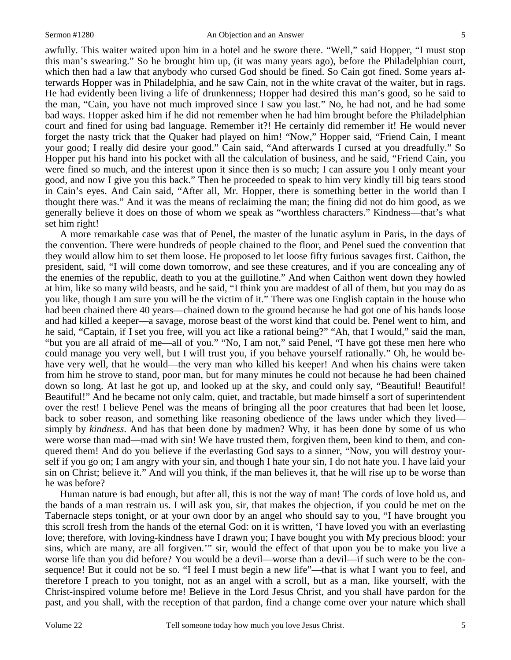awfully. This waiter waited upon him in a hotel and he swore there. "Well," said Hopper, "I must stop this man's swearing." So he brought him up, (it was many years ago), before the Philadelphian court, which then had a law that anybody who cursed God should be fined. So Cain got fined. Some years afterwards Hopper was in Philadelphia, and he saw Cain, not in the white cravat of the waiter, but in rags. He had evidently been living a life of drunkenness; Hopper had desired this man's good, so he said to the man, "Cain, you have not much improved since I saw you last." No, he had not, and he had some bad ways. Hopper asked him if he did not remember when he had him brought before the Philadelphian court and fined for using bad language. Remember it?! He certainly did remember it! He would never forget the nasty trick that the Quaker had played on him! "Now," Hopper said, "Friend Cain, I meant your good; I really did desire your good." Cain said, "And afterwards I cursed at you dreadfully." So Hopper put his hand into his pocket with all the calculation of business, and he said, "Friend Cain, you were fined so much, and the interest upon it since then is so much; I can assure you I only meant your good, and now I give you this back." Then he proceeded to speak to him very kindly till big tears stood in Cain's eyes. And Cain said, "After all, Mr. Hopper, there is something better in the world than I thought there was." And it was the means of reclaiming the man; the fining did not do him good, as we generally believe it does on those of whom we speak as "worthless characters." Kindness—that's what set him right!

 A more remarkable case was that of Penel, the master of the lunatic asylum in Paris, in the days of the convention. There were hundreds of people chained to the floor, and Penel sued the convention that they would allow him to set them loose. He proposed to let loose fifty furious savages first. Caithon, the president, said, "I will come down tomorrow, and see these creatures, and if you are concealing any of the enemies of the republic, death to you at the guillotine." And when Caithon went down they howled at him, like so many wild beasts, and he said, "I think you are maddest of all of them, but you may do as you like, though I am sure you will be the victim of it." There was one English captain in the house who had been chained there 40 years—chained down to the ground because he had got one of his hands loose and had killed a keeper—a savage, morose beast of the worst kind that could be. Penel went to him, and he said, "Captain, if I set you free, will you act like a rational being?" "Ah, that I would," said the man, "but you are all afraid of me—all of you." "No, I am not," said Penel, "I have got these men here who could manage you very well, but I will trust you, if you behave yourself rationally." Oh, he would behave very well, that he would—the very man who killed his keeper! And when his chains were taken from him he strove to stand, poor man, but for many minutes he could not because he had been chained down so long. At last he got up, and looked up at the sky, and could only say, "Beautiful! Beautiful! Beautiful!" And he became not only calm, quiet, and tractable, but made himself a sort of superintendent over the rest! I believe Penel was the means of bringing all the poor creatures that had been let loose, back to sober reason, and something like reasoning obedience of the laws under which they lived simply by *kindness*. And has that been done by madmen? Why, it has been done by some of us who were worse than mad—mad with sin! We have trusted them, forgiven them, been kind to them, and conquered them! And do you believe if the everlasting God says to a sinner, "Now, you will destroy yourself if you go on; I am angry with your sin, and though I hate your sin, I do not hate you. I have laid your sin on Christ; believe it." And will you think, if the man believes it, that he will rise up to be worse than he was before?

 Human nature is bad enough, but after all, this is not the way of man! The cords of love hold us, and the bands of a man restrain us. I will ask you, sir, that makes the objection, if you could be met on the Tabernacle steps tonight, or at your own door by an angel who should say to you, "I have brought you this scroll fresh from the hands of the eternal God: on it is written, 'I have loved you with an everlasting love; therefore, with loving-kindness have I drawn you; I have bought you with My precious blood: your sins, which are many, are all forgiven.'" sir, would the effect of that upon you be to make you live a worse life than you did before? You would be a devil—worse than a devil—if such were to be the consequence! But it could not be so. "I feel I must begin a new life"—that is what I want you to feel, and therefore I preach to you tonight, not as an angel with a scroll, but as a man, like yourself, with the Christ-inspired volume before me! Believe in the Lord Jesus Christ, and you shall have pardon for the past, and you shall, with the reception of that pardon, find a change come over your nature which shall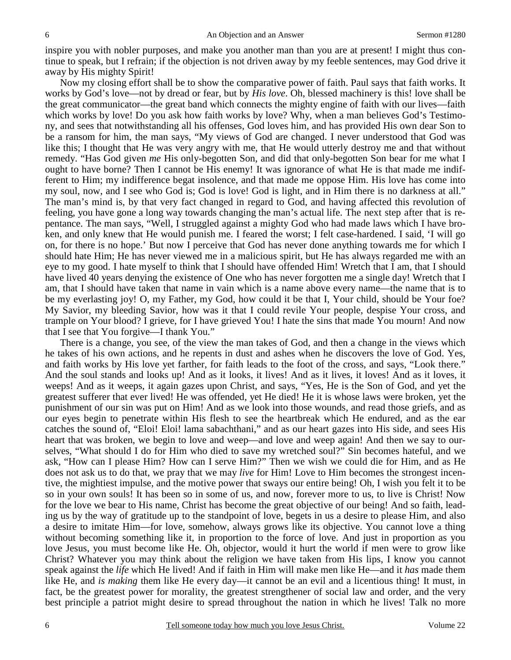inspire you with nobler purposes, and make you another man than you are at present! I might thus continue to speak, but I refrain; if the objection is not driven away by my feeble sentences, may God drive it away by His mighty Spirit!

 Now my closing effort shall be to show the comparative power of faith. Paul says that faith works. It works by God's love—not by dread or fear, but by *His love*. Oh, blessed machinery is this! love shall be the great communicator—the great band which connects the mighty engine of faith with our lives—faith which works by love! Do you ask how faith works by love? Why, when a man believes God's Testimony, and sees that notwithstanding all his offenses, God loves him, and has provided His own dear Son to be a ransom for him, the man says, "My views of God are changed. I never understood that God was like this; I thought that He was very angry with me, that He would utterly destroy me and that without remedy. "Has God given *me* His only-begotten Son, and did that only-begotten Son bear for me what I ought to have borne? Then I cannot be His enemy! It was ignorance of what He is that made me indifferent to Him; my indifference begat insolence, and that made me oppose Him. His love has come into my soul, now, and I see who God is; God is love! God is light, and in Him there is no darkness at all." The man's mind is, by that very fact changed in regard to God, and having affected this revolution of feeling, you have gone a long way towards changing the man's actual life. The next step after that is repentance. The man says, "Well, I struggled against a mighty God who had made laws which I have broken, and only knew that He would punish me. I feared the worst; I felt case-hardened. I said, 'I will go on, for there is no hope.' But now I perceive that God has never done anything towards me for which I should hate Him; He has never viewed me in a malicious spirit, but He has always regarded me with an eye to my good. I hate myself to think that I should have offended Him! Wretch that I am, that I should have lived 40 years denying the existence of One who has never forgotten me a single day! Wretch that I am, that I should have taken that name in vain which is a name above every name—the name that is to be my everlasting joy! O, my Father, my God, how could it be that I, Your child, should be Your foe? My Savior, my bleeding Savior, how was it that I could revile Your people, despise Your cross, and trample on Your blood? I grieve, for I have grieved You! I hate the sins that made You mourn! And now that I see that You forgive—I thank You."

 There is a change, you see, of the view the man takes of God, and then a change in the views which he takes of his own actions, and he repents in dust and ashes when he discovers the love of God. Yes, and faith works by His love yet farther, for faith leads to the foot of the cross, and says, "Look there." And the soul stands and looks up! And as it looks, it lives! And as it lives, it loves! And as it loves, it weeps! And as it weeps, it again gazes upon Christ, and says, "Yes, He is the Son of God, and yet the greatest sufferer that ever lived! He was offended, yet He died! He it is whose laws were broken, yet the punishment of our sin was put on Him! And as we look into those wounds, and read those griefs, and as our eyes begin to penetrate within His flesh to see the heartbreak which He endured, and as the ear catches the sound of, "Eloi! Eloi! lama sabachthani," and as our heart gazes into His side, and sees His heart that was broken, we begin to love and weep—and love and weep again! And then we say to ourselves, "What should I do for Him who died to save my wretched soul?" Sin becomes hateful, and we ask, "How can I please Him? How can I serve Him?" Then we wish we could die for Him, and as He does not ask us to do that, we pray that we may *live* for Him! Love to Him becomes the strongest incentive, the mightiest impulse, and the motive power that sways our entire being! Oh, I wish you felt it to be so in your own souls! It has been so in some of us, and now, forever more to us, to live is Christ! Now for the love we bear to His name, Christ has become the great objective of our being! And so faith, leading us by the way of gratitude up to the standpoint of love, begets in us a desire to please Him, and also a desire to imitate Him—for love, somehow, always grows like its objective. You cannot love a thing without becoming something like it, in proportion to the force of love. And just in proportion as you love Jesus, you must become like He. Oh, objector, would it hurt the world if men were to grow like Christ? Whatever you may think about the religion we have taken from His lips, I know you cannot speak against the *life* which He lived! And if faith in Him will make men like He—and it *has* made them like He, and *is making* them like He every day—it cannot be an evil and a licentious thing! It must, in fact, be the greatest power for morality, the greatest strengthener of social law and order, and the very best principle a patriot might desire to spread throughout the nation in which he lives! Talk no more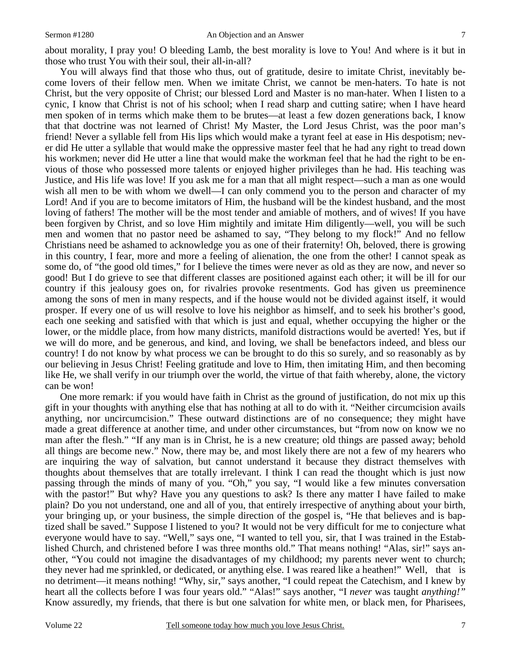about morality, I pray you! O bleeding Lamb, the best morality is love to You! And where is it but in those who trust You with their soul, their all-in-all?

 You will always find that those who thus, out of gratitude, desire to imitate Christ, inevitably become lovers of their fellow men. When we imitate Christ, we cannot be men-haters. To hate is not Christ, but the very opposite of Christ; our blessed Lord and Master is no man-hater. When I listen to a cynic, I know that Christ is not of his school; when I read sharp and cutting satire; when I have heard men spoken of in terms which make them to be brutes—at least a few dozen generations back, I know that that doctrine was not learned of Christ! My Master, the Lord Jesus Christ, was the poor man's friend! Never a syllable fell from His lips which would make a tyrant feel at ease in His despotism; never did He utter a syllable that would make the oppressive master feel that he had any right to tread down his workmen; never did He utter a line that would make the workman feel that he had the right to be envious of those who possessed more talents or enjoyed higher privileges than he had. His teaching was Justice, and His life was love! If you ask me for a man that all might respect—such a man as one would wish all men to be with whom we dwell—I can only commend you to the person and character of my Lord! And if you are to become imitators of Him, the husband will be the kindest husband, and the most loving of fathers! The mother will be the most tender and amiable of mothers, and of wives! If you have been forgiven by Christ, and so love Him mightily and imitate Him diligently—well, you will be such men and women that no pastor need be ashamed to say, "They belong to my flock!" And no fellow Christians need be ashamed to acknowledge you as one of their fraternity! Oh, beloved, there is growing in this country, I fear, more and more a feeling of alienation, the one from the other! I cannot speak as some do, of "the good old times," for I believe the times were never as old as they are now, and never so good! But I do grieve to see that different classes are positioned against each other; it will be ill for our country if this jealousy goes on, for rivalries provoke resentments. God has given us preeminence among the sons of men in many respects, and if the house would not be divided against itself, it would prosper. If every one of us will resolve to love his neighbor as himself, and to seek his brother's good, each one seeking and satisfied with that which is just and equal, whether occupying the higher or the lower, or the middle place, from how many districts, manifold distractions would be averted! Yes, but if we will do more, and be generous, and kind, and loving, we shall be benefactors indeed, and bless our country! I do not know by what process we can be brought to do this so surely, and so reasonably as by our believing in Jesus Christ! Feeling gratitude and love to Him, then imitating Him, and then becoming like He, we shall verify in our triumph over the world, the virtue of that faith whereby, alone, the victory can be won!

 One more remark: if you would have faith in Christ as the ground of justification, do not mix up this gift in your thoughts with anything else that has nothing at all to do with it. "Neither circumcision avails anything, nor uncircumcision." These outward distinctions are of no consequence; they might have made a great difference at another time, and under other circumstances, but "from now on know we no man after the flesh." "If any man is in Christ, he is a new creature; old things are passed away; behold all things are become new." Now, there may be, and most likely there are not a few of my hearers who are inquiring the way of salvation, but cannot understand it because they distract themselves with thoughts about themselves that are totally irrelevant. I think I can read the thought which is just now passing through the minds of many of you. "Oh," you say, "I would like a few minutes conversation with the pastor!" But why? Have you any questions to ask? Is there any matter I have failed to make plain? Do you not understand, one and all of you, that entirely irrespective of anything about your birth, your bringing up, or your business, the simple direction of the gospel is, "He that believes and is baptized shall be saved." Suppose I listened to you? It would not be very difficult for me to conjecture what everyone would have to say. "Well," says one, "I wanted to tell you, sir, that I was trained in the Established Church, and christened before I was three months old." That means nothing! "Alas, sir!" says another, "You could not imagine the disadvantages of my childhood; my parents never went to church; they never had me sprinkled, or dedicated, or anything else. I was reared like a heathen!" Well, that is no detriment—it means nothing! "Why, sir," says another, "I could repeat the Catechism, and I knew by heart all the collects before I was four years old." "Alas!" says another, "I *never* was taught *anything!"* Know assuredly, my friends, that there is but one salvation for white men, or black men, for Pharisees,